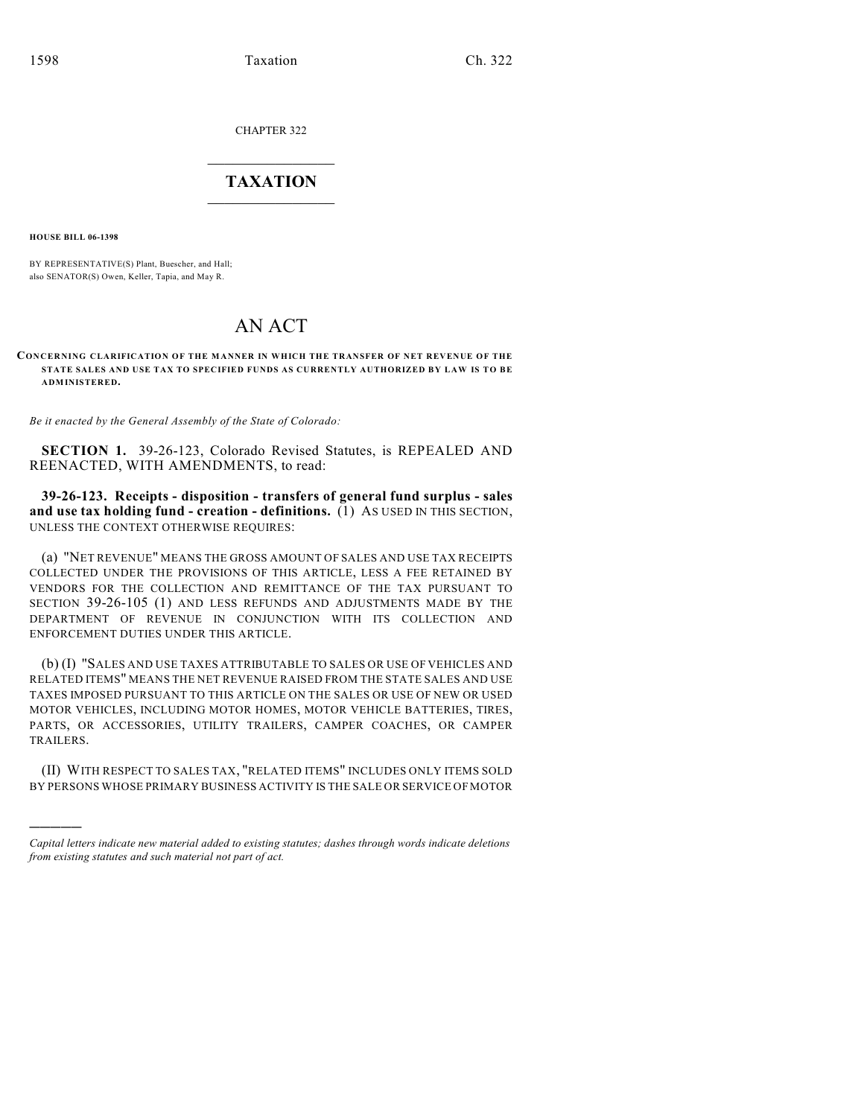CHAPTER 322

# $\mathcal{L}_\text{max}$  . The set of the set of the set of the set of the set of the set of the set of the set of the set of the set of the set of the set of the set of the set of the set of the set of the set of the set of the set **TAXATION**  $\_$

**HOUSE BILL 06-1398**

)))))

BY REPRESENTATIVE(S) Plant, Buescher, and Hall; also SENATOR(S) Owen, Keller, Tapia, and May R.

# AN ACT

**CONCERNING CLARIFICATION OF THE MANNER IN WHICH THE TRANSFER OF NET REVENUE OF THE STATE SALES AND USE TAX TO SPECIFIED FUNDS AS CURRENTLY AUTHORIZED BY LAW IS TO BE ADMINISTERED.**

*Be it enacted by the General Assembly of the State of Colorado:*

**SECTION 1.** 39-26-123, Colorado Revised Statutes, is REPEALED AND REENACTED, WITH AMENDMENTS, to read:

**39-26-123. Receipts - disposition - transfers of general fund surplus - sales and use tax holding fund - creation - definitions.** (1) AS USED IN THIS SECTION, UNLESS THE CONTEXT OTHERWISE REQUIRES:

(a) "NET REVENUE" MEANS THE GROSS AMOUNT OF SALES AND USE TAX RECEIPTS COLLECTED UNDER THE PROVISIONS OF THIS ARTICLE, LESS A FEE RETAINED BY VENDORS FOR THE COLLECTION AND REMITTANCE OF THE TAX PURSUANT TO SECTION 39-26-105 (1) AND LESS REFUNDS AND ADJUSTMENTS MADE BY THE DEPARTMENT OF REVENUE IN CONJUNCTION WITH ITS COLLECTION AND ENFORCEMENT DUTIES UNDER THIS ARTICLE.

(b) (I) "SALES AND USE TAXES ATTRIBUTABLE TO SALES OR USE OF VEHICLES AND RELATED ITEMS" MEANS THE NET REVENUE RAISED FROM THE STATE SALES AND USE TAXES IMPOSED PURSUANT TO THIS ARTICLE ON THE SALES OR USE OF NEW OR USED MOTOR VEHICLES, INCLUDING MOTOR HOMES, MOTOR VEHICLE BATTERIES, TIRES, PARTS, OR ACCESSORIES, UTILITY TRAILERS, CAMPER COACHES, OR CAMPER TRAILERS.

(II) WITH RESPECT TO SALES TAX, "RELATED ITEMS" INCLUDES ONLY ITEMS SOLD BY PERSONS WHOSE PRIMARY BUSINESS ACTIVITY IS THE SALE OR SERVICE OF MOTOR

*Capital letters indicate new material added to existing statutes; dashes through words indicate deletions from existing statutes and such material not part of act.*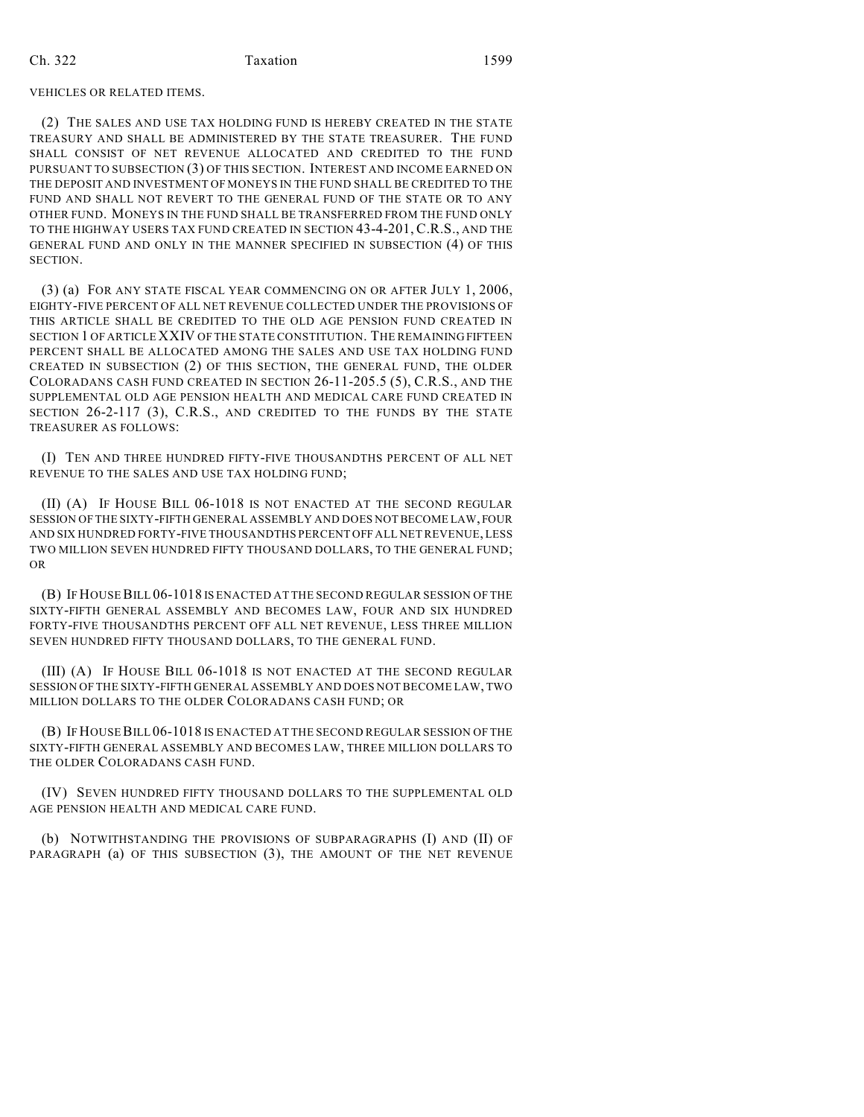## Ch. 322 Taxation 1599

### VEHICLES OR RELATED ITEMS.

(2) THE SALES AND USE TAX HOLDING FUND IS HEREBY CREATED IN THE STATE TREASURY AND SHALL BE ADMINISTERED BY THE STATE TREASURER. THE FUND SHALL CONSIST OF NET REVENUE ALLOCATED AND CREDITED TO THE FUND PURSUANT TO SUBSECTION (3) OF THIS SECTION. INTEREST AND INCOME EARNED ON THE DEPOSIT AND INVESTMENT OF MONEYS IN THE FUND SHALL BE CREDITED TO THE FUND AND SHALL NOT REVERT TO THE GENERAL FUND OF THE STATE OR TO ANY OTHER FUND. MONEYS IN THE FUND SHALL BE TRANSFERRED FROM THE FUND ONLY TO THE HIGHWAY USERS TAX FUND CREATED IN SECTION 43-4-201, C.R.S., AND THE GENERAL FUND AND ONLY IN THE MANNER SPECIFIED IN SUBSECTION (4) OF THIS SECTION.

(3) (a) FOR ANY STATE FISCAL YEAR COMMENCING ON OR AFTER JULY 1, 2006, EIGHTY-FIVE PERCENT OF ALL NET REVENUE COLLECTED UNDER THE PROVISIONS OF THIS ARTICLE SHALL BE CREDITED TO THE OLD AGE PENSION FUND CREATED IN SECTION 1 OF ARTICLE XXIV OF THE STATE CONSTITUTION. THE REMAINING FIFTEEN PERCENT SHALL BE ALLOCATED AMONG THE SALES AND USE TAX HOLDING FUND CREATED IN SUBSECTION (2) OF THIS SECTION, THE GENERAL FUND, THE OLDER COLORADANS CASH FUND CREATED IN SECTION 26-11-205.5 (5), C.R.S., AND THE SUPPLEMENTAL OLD AGE PENSION HEALTH AND MEDICAL CARE FUND CREATED IN SECTION 26-2-117 (3), C.R.S., AND CREDITED TO THE FUNDS BY THE STATE TREASURER AS FOLLOWS:

(I) TEN AND THREE HUNDRED FIFTY-FIVE THOUSANDTHS PERCENT OF ALL NET REVENUE TO THE SALES AND USE TAX HOLDING FUND;

(II) (A) IF HOUSE BILL 06-1018 IS NOT ENACTED AT THE SECOND REGULAR SESSION OF THE SIXTY-FIFTH GENERAL ASSEMBLY AND DOES NOT BECOME LAW, FOUR AND SIX HUNDRED FORTY-FIVE THOUSANDTHS PERCENT OFF ALL NET REVENUE, LESS TWO MILLION SEVEN HUNDRED FIFTY THOUSAND DOLLARS, TO THE GENERAL FUND; OR

(B) IF HOUSE BILL 06-1018 IS ENACTED AT THE SECOND REGULAR SESSION OF THE SIXTY-FIFTH GENERAL ASSEMBLY AND BECOMES LAW, FOUR AND SIX HUNDRED FORTY-FIVE THOUSANDTHS PERCENT OFF ALL NET REVENUE, LESS THREE MILLION SEVEN HUNDRED FIFTY THOUSAND DOLLARS, TO THE GENERAL FUND.

(III) (A) IF HOUSE BILL 06-1018 IS NOT ENACTED AT THE SECOND REGULAR SESSION OFTHE SIXTY-FIFTH GENERAL ASSEMBLY AND DOES NOT BECOME LAW, TWO MILLION DOLLARS TO THE OLDER COLORADANS CASH FUND; OR

(B) IF HOUSE BILL 06-1018 IS ENACTED AT THE SECOND REGULAR SESSION OF THE SIXTY-FIFTH GENERAL ASSEMBLY AND BECOMES LAW, THREE MILLION DOLLARS TO THE OLDER COLORADANS CASH FUND.

(IV) SEVEN HUNDRED FIFTY THOUSAND DOLLARS TO THE SUPPLEMENTAL OLD AGE PENSION HEALTH AND MEDICAL CARE FUND.

(b) NOTWITHSTANDING THE PROVISIONS OF SUBPARAGRAPHS (I) AND (II) OF PARAGRAPH (a) OF THIS SUBSECTION (3), THE AMOUNT OF THE NET REVENUE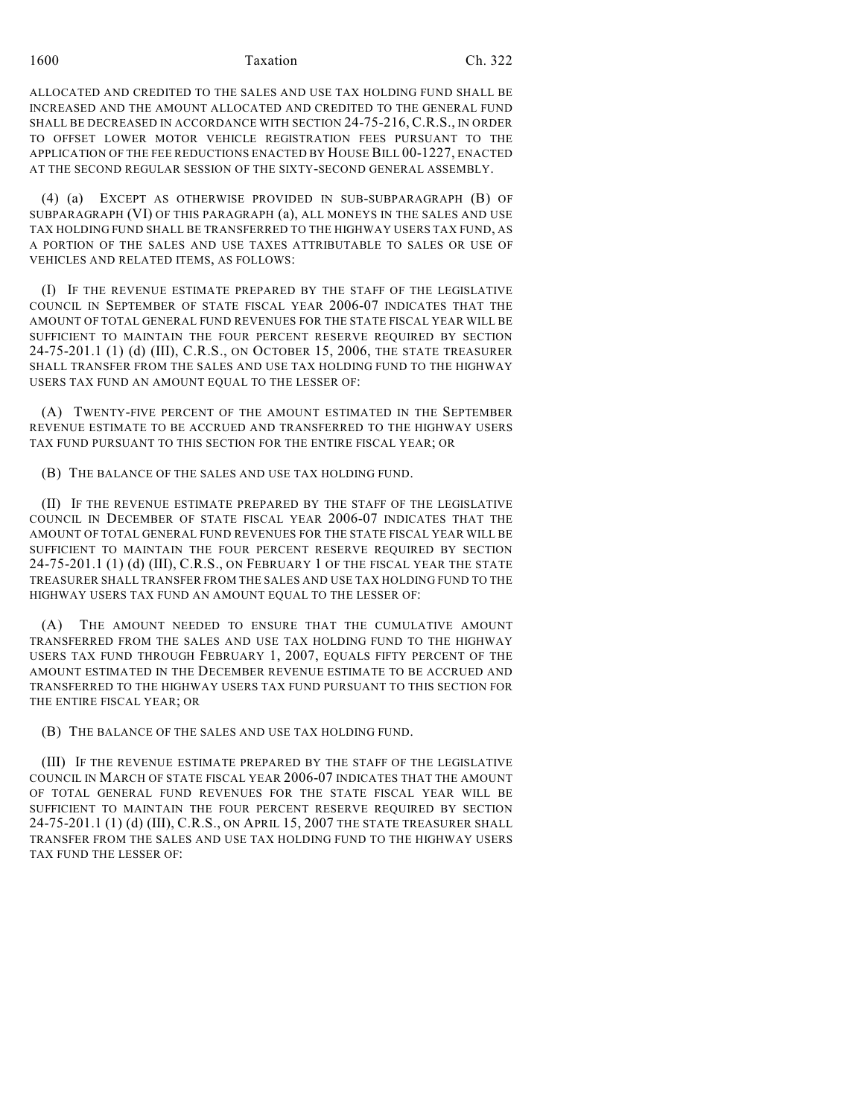1600 Taxation Ch. 322

ALLOCATED AND CREDITED TO THE SALES AND USE TAX HOLDING FUND SHALL BE INCREASED AND THE AMOUNT ALLOCATED AND CREDITED TO THE GENERAL FUND SHALL BE DECREASED IN ACCORDANCE WITH SECTION 24-75-216, C.R.S., IN ORDER TO OFFSET LOWER MOTOR VEHICLE REGISTRATION FEES PURSUANT TO THE APPLICATION OF THE FEE REDUCTIONS ENACTED BY HOUSE BILL 00-1227, ENACTED AT THE SECOND REGULAR SESSION OF THE SIXTY-SECOND GENERAL ASSEMBLY.

(4) (a) EXCEPT AS OTHERWISE PROVIDED IN SUB-SUBPARAGRAPH (B) OF SUBPARAGRAPH (VI) OF THIS PARAGRAPH (a), ALL MONEYS IN THE SALES AND USE TAX HOLDING FUND SHALL BE TRANSFERRED TO THE HIGHWAY USERS TAX FUND, AS A PORTION OF THE SALES AND USE TAXES ATTRIBUTABLE TO SALES OR USE OF VEHICLES AND RELATED ITEMS, AS FOLLOWS:

(I) IF THE REVENUE ESTIMATE PREPARED BY THE STAFF OF THE LEGISLATIVE COUNCIL IN SEPTEMBER OF STATE FISCAL YEAR 2006-07 INDICATES THAT THE AMOUNT OF TOTAL GENERAL FUND REVENUES FOR THE STATE FISCAL YEAR WILL BE SUFFICIENT TO MAINTAIN THE FOUR PERCENT RESERVE REQUIRED BY SECTION 24-75-201.1 (1) (d) (III), C.R.S., ON OCTOBER 15, 2006, THE STATE TREASURER SHALL TRANSFER FROM THE SALES AND USE TAX HOLDING FUND TO THE HIGHWAY USERS TAX FUND AN AMOUNT EQUAL TO THE LESSER OF:

(A) TWENTY-FIVE PERCENT OF THE AMOUNT ESTIMATED IN THE SEPTEMBER REVENUE ESTIMATE TO BE ACCRUED AND TRANSFERRED TO THE HIGHWAY USERS TAX FUND PURSUANT TO THIS SECTION FOR THE ENTIRE FISCAL YEAR; OR

(B) THE BALANCE OF THE SALES AND USE TAX HOLDING FUND.

(II) IF THE REVENUE ESTIMATE PREPARED BY THE STAFF OF THE LEGISLATIVE COUNCIL IN DECEMBER OF STATE FISCAL YEAR 2006-07 INDICATES THAT THE AMOUNT OF TOTAL GENERAL FUND REVENUES FOR THE STATE FISCAL YEAR WILL BE SUFFICIENT TO MAINTAIN THE FOUR PERCENT RESERVE REQUIRED BY SECTION 24-75-201.1 (1) (d) (III), C.R.S., ON FEBRUARY 1 OF THE FISCAL YEAR THE STATE TREASURER SHALL TRANSFER FROM THE SALES AND USE TAX HOLDING FUND TO THE HIGHWAY USERS TAX FUND AN AMOUNT EQUAL TO THE LESSER OF:

(A) THE AMOUNT NEEDED TO ENSURE THAT THE CUMULATIVE AMOUNT TRANSFERRED FROM THE SALES AND USE TAX HOLDING FUND TO THE HIGHWAY USERS TAX FUND THROUGH FEBRUARY 1, 2007, EQUALS FIFTY PERCENT OF THE AMOUNT ESTIMATED IN THE DECEMBER REVENUE ESTIMATE TO BE ACCRUED AND TRANSFERRED TO THE HIGHWAY USERS TAX FUND PURSUANT TO THIS SECTION FOR THE ENTIRE FISCAL YEAR; OR

(B) THE BALANCE OF THE SALES AND USE TAX HOLDING FUND.

(III) IF THE REVENUE ESTIMATE PREPARED BY THE STAFF OF THE LEGISLATIVE COUNCIL IN MARCH OF STATE FISCAL YEAR 2006-07 INDICATES THAT THE AMOUNT OF TOTAL GENERAL FUND REVENUES FOR THE STATE FISCAL YEAR WILL BE SUFFICIENT TO MAINTAIN THE FOUR PERCENT RESERVE REQUIRED BY SECTION 24-75-201.1 (1) (d) (III), C.R.S., ON APRIL 15, 2007 THE STATE TREASURER SHALL TRANSFER FROM THE SALES AND USE TAX HOLDING FUND TO THE HIGHWAY USERS TAX FUND THE LESSER OF: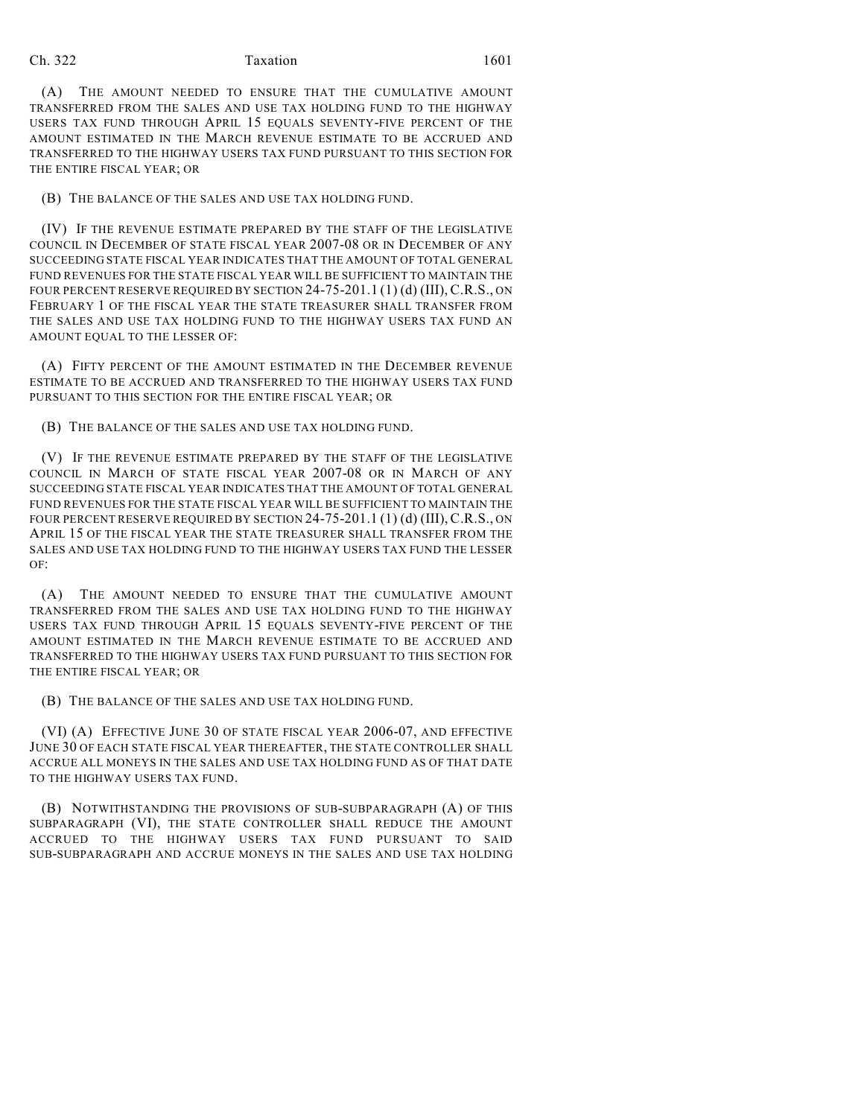## Ch. 322 **Taxation** 1601

(A) THE AMOUNT NEEDED TO ENSURE THAT THE CUMULATIVE AMOUNT TRANSFERRED FROM THE SALES AND USE TAX HOLDING FUND TO THE HIGHWAY USERS TAX FUND THROUGH APRIL 15 EQUALS SEVENTY-FIVE PERCENT OF THE AMOUNT ESTIMATED IN THE MARCH REVENUE ESTIMATE TO BE ACCRUED AND TRANSFERRED TO THE HIGHWAY USERS TAX FUND PURSUANT TO THIS SECTION FOR THE ENTIRE FISCAL YEAR; OR

(B) THE BALANCE OF THE SALES AND USE TAX HOLDING FUND.

(IV) IF THE REVENUE ESTIMATE PREPARED BY THE STAFF OF THE LEGISLATIVE COUNCIL IN DECEMBER OF STATE FISCAL YEAR 2007-08 OR IN DECEMBER OF ANY SUCCEEDING STATE FISCAL YEAR INDICATES THAT THE AMOUNT OF TOTAL GENERAL FUND REVENUES FOR THE STATE FISCAL YEAR WILL BE SUFFICIENT TO MAINTAIN THE FOUR PERCENT RESERVE REQUIRED BY SECTION 24-75-201.1 (1) (d) (III), C.R.S., ON FEBRUARY 1 OF THE FISCAL YEAR THE STATE TREASURER SHALL TRANSFER FROM THE SALES AND USE TAX HOLDING FUND TO THE HIGHWAY USERS TAX FUND AN AMOUNT EQUAL TO THE LESSER OF:

(A) FIFTY PERCENT OF THE AMOUNT ESTIMATED IN THE DECEMBER REVENUE ESTIMATE TO BE ACCRUED AND TRANSFERRED TO THE HIGHWAY USERS TAX FUND PURSUANT TO THIS SECTION FOR THE ENTIRE FISCAL YEAR; OR

(B) THE BALANCE OF THE SALES AND USE TAX HOLDING FUND.

(V) IF THE REVENUE ESTIMATE PREPARED BY THE STAFF OF THE LEGISLATIVE COUNCIL IN MARCH OF STATE FISCAL YEAR 2007-08 OR IN MARCH OF ANY SUCCEEDING STATE FISCAL YEAR INDICATES THAT THE AMOUNT OF TOTAL GENERAL FUND REVENUES FOR THE STATE FISCAL YEAR WILL BE SUFFICIENT TO MAINTAIN THE FOUR PERCENT RESERVE REQUIRED BY SECTION 24-75-201.1 (1) (d) (III), C.R.S., ON APRIL 15 OF THE FISCAL YEAR THE STATE TREASURER SHALL TRANSFER FROM THE SALES AND USE TAX HOLDING FUND TO THE HIGHWAY USERS TAX FUND THE LESSER OF:

(A) THE AMOUNT NEEDED TO ENSURE THAT THE CUMULATIVE AMOUNT TRANSFERRED FROM THE SALES AND USE TAX HOLDING FUND TO THE HIGHWAY USERS TAX FUND THROUGH APRIL 15 EQUALS SEVENTY-FIVE PERCENT OF THE AMOUNT ESTIMATED IN THE MARCH REVENUE ESTIMATE TO BE ACCRUED AND TRANSFERRED TO THE HIGHWAY USERS TAX FUND PURSUANT TO THIS SECTION FOR THE ENTIRE FISCAL YEAR; OR

(B) THE BALANCE OF THE SALES AND USE TAX HOLDING FUND.

(VI) (A) EFFECTIVE JUNE 30 OF STATE FISCAL YEAR 2006-07, AND EFFECTIVE JUNE 30 OF EACH STATE FISCAL YEAR THEREAFTER, THE STATE CONTROLLER SHALL ACCRUE ALL MONEYS IN THE SALES AND USE TAX HOLDING FUND AS OF THAT DATE TO THE HIGHWAY USERS TAX FUND.

(B) NOTWITHSTANDING THE PROVISIONS OF SUB-SUBPARAGRAPH (A) OF THIS SUBPARAGRAPH (VI), THE STATE CONTROLLER SHALL REDUCE THE AMOUNT ACCRUED TO THE HIGHWAY USERS TAX FUND PURSUANT TO SAID SUB-SUBPARAGRAPH AND ACCRUE MONEYS IN THE SALES AND USE TAX HOLDING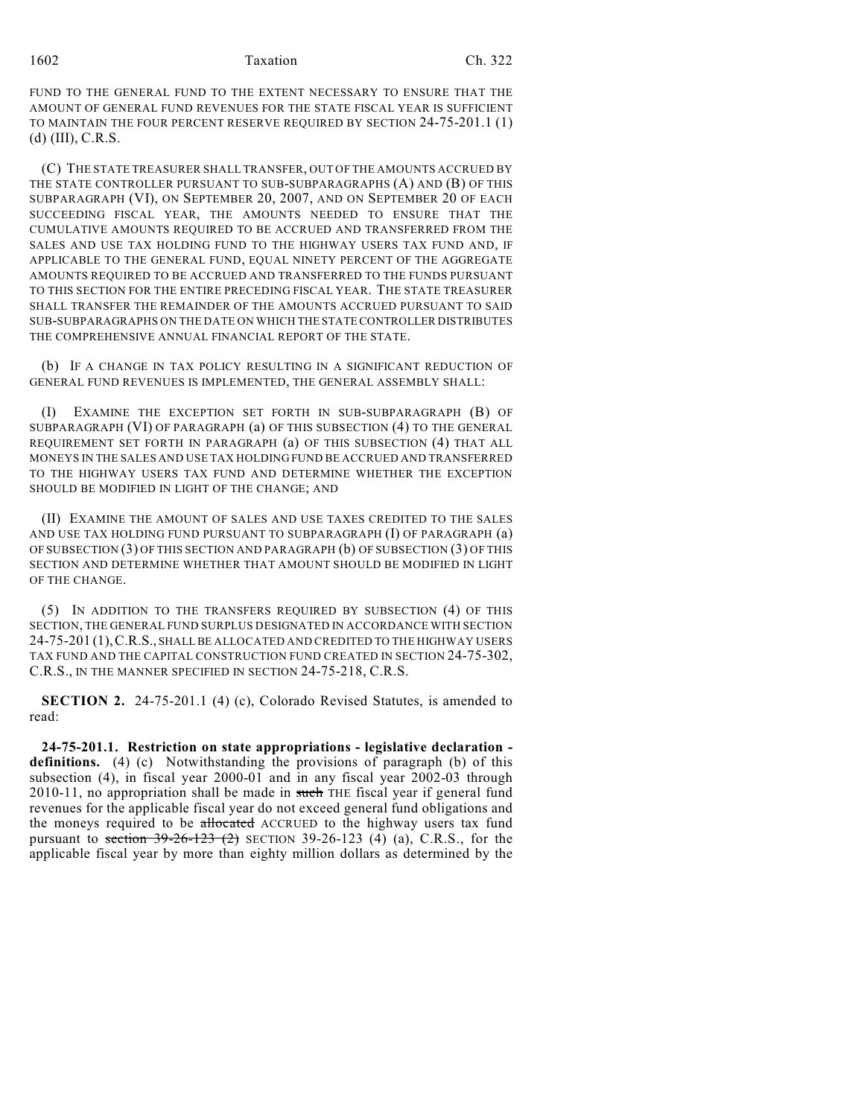FUND TO THE GENERAL FUND TO THE EXTENT NECESSARY TO ENSURE THAT THE AMOUNT OF GENERAL FUND REVENUES FOR THE STATE FISCAL YEAR IS SUFFICIENT TO MAINTAIN THE FOUR PERCENT RESERVE REQUIRED BY SECTION 24-75-201.1 (1) (d) (III), C.R.S.

(C) THE STATE TREASURER SHALL TRANSFER, OUT OF THE AMOUNTS ACCRUED BY THE STATE CONTROLLER PURSUANT TO SUB-SUBPARAGRAPHS (A) AND (B) OF THIS SUBPARAGRAPH (VI), ON SEPTEMBER 20, 2007, AND ON SEPTEMBER 20 OF EACH SUCCEEDING FISCAL YEAR, THE AMOUNTS NEEDED TO ENSURE THAT THE CUMULATIVE AMOUNTS REQUIRED TO BE ACCRUED AND TRANSFERRED FROM THE SALES AND USE TAX HOLDING FUND TO THE HIGHWAY USERS TAX FUND AND, IF APPLICABLE TO THE GENERAL FUND, EQUAL NINETY PERCENT OF THE AGGREGATE AMOUNTS REQUIRED TO BE ACCRUED AND TRANSFERRED TO THE FUNDS PURSUANT TO THIS SECTION FOR THE ENTIRE PRECEDING FISCAL YEAR. THE STATE TREASURER SHALL TRANSFER THE REMAINDER OF THE AMOUNTS ACCRUED PURSUANT TO SAID SUB-SUBPARAGRAPHS ON THE DATE ON WHICH THE STATE CONTROLLER DISTRIBUTES THE COMPREHENSIVE ANNUAL FINANCIAL REPORT OF THE STATE.

(b) IF A CHANGE IN TAX POLICY RESULTING IN A SIGNIFICANT REDUCTION OF GENERAL FUND REVENUES IS IMPLEMENTED, THE GENERAL ASSEMBLY SHALL:

(I) EXAMINE THE EXCEPTION SET FORTH IN SUB-SUBPARAGRAPH (B) OF SUBPARAGRAPH (VI) OF PARAGRAPH (a) OF THIS SUBSECTION (4) TO THE GENERAL REQUIREMENT SET FORTH IN PARAGRAPH (a) OF THIS SUBSECTION (4) THAT ALL MONEYS IN THE SALES AND USE TAX HOLDING FUND BE ACCRUED AND TRANSFERRED TO THE HIGHWAY USERS TAX FUND AND DETERMINE WHETHER THE EXCEPTION SHOULD BE MODIFIED IN LIGHT OF THE CHANGE; AND

(II) EXAMINE THE AMOUNT OF SALES AND USE TAXES CREDITED TO THE SALES AND USE TAX HOLDING FUND PURSUANT TO SUBPARAGRAPH (I) OF PARAGRAPH (a) OF SUBSECTION (3) OF THIS SECTION AND PARAGRAPH (b) OF SUBSECTION (3) OF THIS SECTION AND DETERMINE WHETHER THAT AMOUNT SHOULD BE MODIFIED IN LIGHT OF THE CHANGE.

(5) IN ADDITION TO THE TRANSFERS REQUIRED BY SUBSECTION (4) OF THIS SECTION, THE GENERAL FUND SURPLUS DESIGNATED IN ACCORDANCE WITH SECTION 24-75-201 (1),C.R.S., SHALL BE ALLOCATED AND CREDITED TO THE HIGHWAY USERS TAX FUND AND THE CAPITAL CONSTRUCTION FUND CREATED IN SECTION 24-75-302, C.R.S., IN THE MANNER SPECIFIED IN SECTION 24-75-218, C.R.S.

**SECTION 2.** 24-75-201.1 (4) (c), Colorado Revised Statutes, is amended to read:

**24-75-201.1. Restriction on state appropriations - legislative declaration definitions.** (4) (c) Notwithstanding the provisions of paragraph (b) of this subsection (4), in fiscal year 2000-01 and in any fiscal year 2002-03 through  $2010-11$ , no appropriation shall be made in such THE fiscal year if general fund revenues for the applicable fiscal year do not exceed general fund obligations and the moneys required to be allocated ACCRUED to the highway users tax fund pursuant to section  $39-26-123$  (2) SECTION 39-26-123 (4) (a), C.R.S., for the applicable fiscal year by more than eighty million dollars as determined by the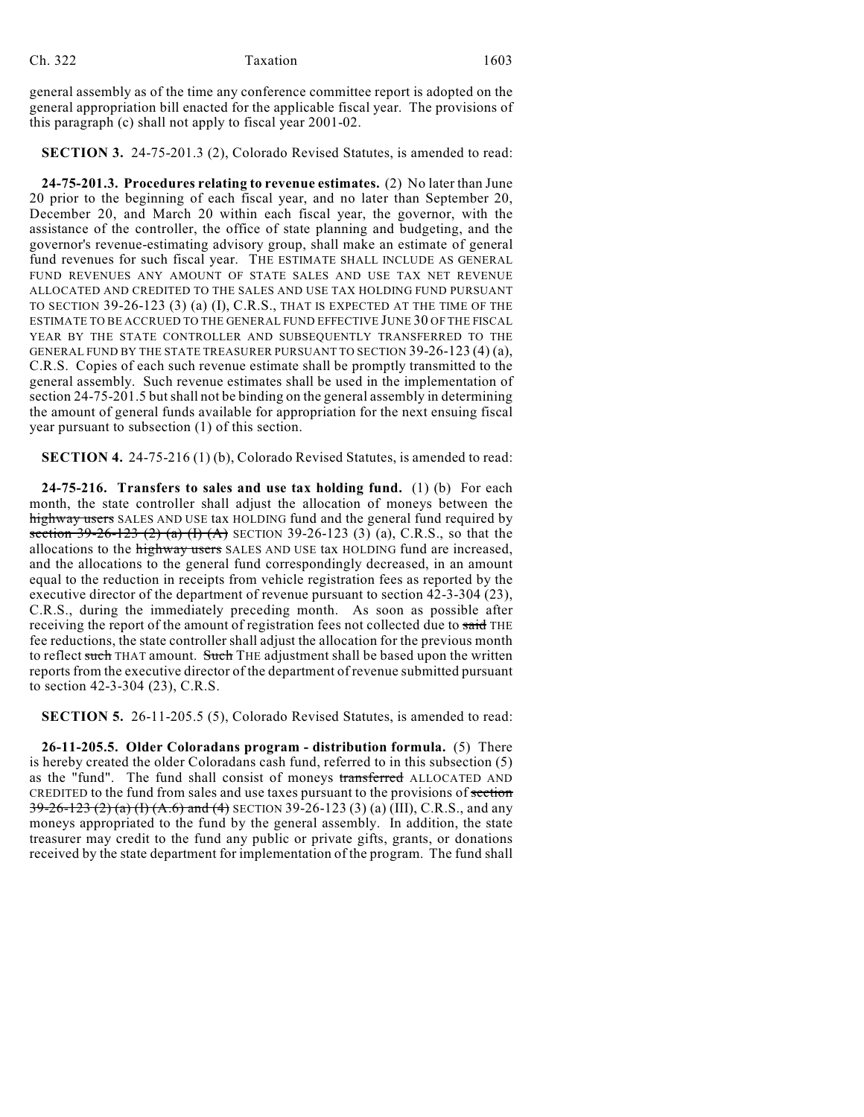general assembly as of the time any conference committee report is adopted on the general appropriation bill enacted for the applicable fiscal year. The provisions of this paragraph (c) shall not apply to fiscal year 2001-02.

**SECTION 3.** 24-75-201.3 (2), Colorado Revised Statutes, is amended to read:

**24-75-201.3. Procedures relating to revenue estimates.** (2) No later than June 20 prior to the beginning of each fiscal year, and no later than September 20, December 20, and March 20 within each fiscal year, the governor, with the assistance of the controller, the office of state planning and budgeting, and the governor's revenue-estimating advisory group, shall make an estimate of general fund revenues for such fiscal year. THE ESTIMATE SHALL INCLUDE AS GENERAL FUND REVENUES ANY AMOUNT OF STATE SALES AND USE TAX NET REVENUE ALLOCATED AND CREDITED TO THE SALES AND USE TAX HOLDING FUND PURSUANT TO SECTION 39-26-123 (3) (a) (I), C.R.S., THAT IS EXPECTED AT THE TIME OF THE ESTIMATE TO BE ACCRUED TO THE GENERAL FUND EFFECTIVE JUNE 30 OF THE FISCAL YEAR BY THE STATE CONTROLLER AND SUBSEQUENTLY TRANSFERRED TO THE GENERAL FUND BY THE STATE TREASURER PURSUANT TO SECTION 39-26-123 (4) (a), C.R.S. Copies of each such revenue estimate shall be promptly transmitted to the general assembly. Such revenue estimates shall be used in the implementation of section 24-75-201.5 but shall not be binding on the general assembly in determining the amount of general funds available for appropriation for the next ensuing fiscal year pursuant to subsection (1) of this section.

**SECTION 4.** 24-75-216 (1) (b), Colorado Revised Statutes, is amended to read:

**24-75-216. Transfers to sales and use tax holding fund.** (1) (b) For each month, the state controller shall adjust the allocation of moneys between the highway users SALES AND USE tax HOLDING fund and the general fund required by section 39-26-123 (2) (a) (I) (A) SECTION 39-26-123 (3) (a), C.R.S., so that the allocations to the highway users SALES AND USE tax HOLDING fund are increased, and the allocations to the general fund correspondingly decreased, in an amount equal to the reduction in receipts from vehicle registration fees as reported by the executive director of the department of revenue pursuant to section 42-3-304 (23), C.R.S., during the immediately preceding month. As soon as possible after receiving the report of the amount of registration fees not collected due to said THE fee reductions, the state controller shall adjust the allocation for the previous month to reflect such THAT amount. Such THE adjustment shall be based upon the written reports from the executive director of the department of revenue submitted pursuant to section 42-3-304 (23), C.R.S.

**SECTION 5.** 26-11-205.5 (5), Colorado Revised Statutes, is amended to read:

**26-11-205.5. Older Coloradans program - distribution formula.** (5) There is hereby created the older Coloradans cash fund, referred to in this subsection (5) as the "fund". The fund shall consist of moneys transferred ALLOCATED AND CREDITED to the fund from sales and use taxes pursuant to the provisions of section 39-26-123 (2) (a) (I) (A.6) and (4) SECTION 39-26-123 (3) (a) (III), C.R.S., and any moneys appropriated to the fund by the general assembly. In addition, the state treasurer may credit to the fund any public or private gifts, grants, or donations received by the state department for implementation of the program. The fund shall